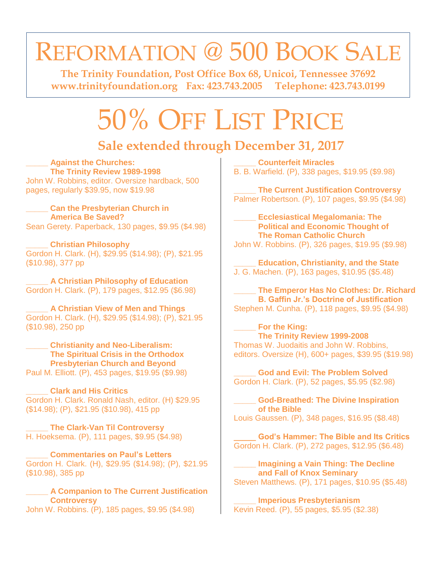## REFORMATION @ 500 BOOK SALE

**The Trinity Foundation, Post Office Box 68, Unicoi, Tennessee 37692 [www.trinityfoundation.org](http://www.trinityfoundation.org/) Fax: 423.743.2005 Telephone: 423.743.0199**

# 50% OFF LIST PRICE

### **Sale extended through December 31, 2017**

#### **\_\_\_\_\_ Against the Churches: The Trinity Review 1989-1998**

John W. Robbins, editor. Oversize hardback, 500 pages, regularly \$39.95, now \$19.98

#### **\_\_\_\_\_ Can the Presbyterian Church in America Be Saved?**

Sean Gerety. Paperback, 130 pages, \$9.95 (\$4.98)

**\_\_\_\_\_ Christian Philosophy** Gordon H. Clark. (H), \$29.95 (\$14.98); (P), \$21.95 (\$10.98), 377 pp

**\_\_\_\_\_ A Christian Philosophy of Education** Gordon H. Clark. (P), 179 pages, \$12.95 (\$6.98)

**\_\_\_\_\_ A Christian View of Men and Things** Gordon H. Clark. (H), \$29.95 (\$14.98); (P), \$21.95 (\$10.98), 250 pp

**\_\_\_\_\_ Christianity and Neo-Liberalism: The Spiritual Crisis in the Orthodox Presbyterian Church and Beyond** Paul M. Elliott. (P), 453 pages, \$19.95 (\$9.98)

**\_\_\_\_\_ Clark and His Critics** Gordon H. Clark. Ronald Nash, editor. (H) \$29.95 (\$14.98); (P), \$21.95 (\$10.98), 415 pp

**\_\_\_\_\_ The Clark-Van Til Controversy** H. Hoeksema. (P), 111 pages, \$9.95 (\$4.98)

**\_\_\_\_\_ Commentaries on Paul's Letters** Gordon H. Clark. (H), \$29.95 (\$14.98); (P), \$21.95 (\$10.98), 385 pp

**\_\_\_\_\_ A Companion to The Current Justification Controversy** John W. Robbins. (P), 185 pages, \$9.95 (\$4.98)

**\_\_\_\_\_ Counterfeit Miracles** B. B. Warfield. (P), 338 pages, \$19.95 (\$9.98)

**\_\_\_\_\_ The Current Justification Controversy** Palmer Robertson. (P), 107 pages, \$9.95 (\$4.98)

**\_\_\_\_\_ Ecclesiastical Megalomania: The Political and Economic Thought of The Roman Catholic Church** John W. Robbins. (P), 326 pages, \$19.95 (\$9.98)

**\_\_\_\_\_ Education, Christianity, and the State** J. G. Machen. (P), 163 pages, \$10.95 (\$5.48)

**\_\_\_\_\_ The Emperor Has No Clothes: Dr. Richard B. Gaffin Jr.'s Doctrine of Justification** Stephen M. Cunha. (P), 118 pages, \$9.95 (\$4.98)

**\_\_\_\_\_ For the King: The Trinity Review 1999-2008** Thomas W. Juodaitis and John W. Robbins, editors. Oversize (H), 600+ pages, \$39.95 (\$19.98)

**\_\_\_\_\_ God and Evil: The Problem Solved** Gordon H. Clark. (P), 52 pages, \$5.95 (\$2.98)

**\_\_\_\_\_ God-Breathed: The Divine Inspiration of the Bible** Louis Gaussen. (P), 348 pages, \$16.95 (\$8.48)

**\_\_\_\_\_ God's Hammer: The Bible and Its Critics** Gordon H. Clark. (P), 272 pages, \$12.95 (\$6.48)

**\_\_\_\_\_ Imagining a Vain Thing: The Decline and Fall of Knox Seminary** Steven Matthews. (P), 171 pages, \$10.95 (\$5.48)

**\_\_\_\_\_ Imperious Presbyterianism** Kevin Reed. (P), 55 pages, \$5.95 (\$2.38)